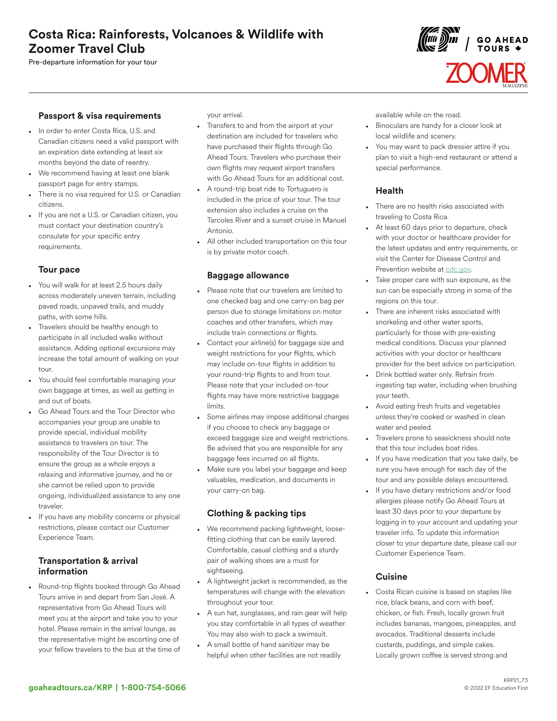# Costa Rica: Rainforests, Volcanoes & Wildlife with Zoomer Travel Club

Pre-departure information for your tour

# $\left(\begin{matrix} 1 & 0 \\ 0 & 0 \end{matrix}\right)$   $\left(\begin{matrix} 1 & 0 \\ 0 & 1 \end{matrix}\right)$   $\left(\begin{matrix} 1 & 0 \\ 0 & 1 \end{matrix}\right)$   $\left(\begin{matrix} 1 & 0 \\ 0 & 1 \end{matrix}\right)$

## Passport & visa requirements

- In order to enter Costa Rica, U.S. and Canadian citizens need a valid passport with an expiration date extending at least six months beyond the date of reentry.
- We recommend having at least one blank passport page for entry stamps.
- There is no visa required for U.S. or Canadian citizens.
- If you are not a U.S. or Canadian citizen, you must contact your destination country's consulate for your specific entry requirements.

## Tour pace

- You will walk for at least 2.5 hours daily across moderately uneven terrain, including paved roads, unpaved trails, and muddy paths, with some hills.
- Travelers should be healthy enough to participate in all included walks without assistance. Adding optional excursions may increase the total amount of walking on your tour.
- You should feel comfortable managing your own baggage at times, as well as getting in and out of boats.
- Go Ahead Tours and the Tour Director who accompanies your group are unable to provide special, individual mobility assistance to travelers on tour. The responsibility of the Tour Director is to ensure the group as a whole enjoys a relaxing and informative journey, and he or she cannot be relied upon to provide ongoing, individualized assistance to any one traveler.
- If you have any mobility concerns or physical restrictions, please contact our Customer Experience Team.

## Transportation & arrival information

• Round-trip flights booked through Go Ahead Tours arrive in and depart from San José. A representative from Go Ahead Tours will meet you at the airport and take you to your hotel. Please remain in the arrival lounge, as the representative might be escorting one of your fellow travelers to the bus at the time of your arrival.

- Transfers to and from the airport at your destination are included for travelers who have purchased their flights through Go Ahead Tours. Travelers who purchase their own flights may request airport transfers with Go Ahead Tours for an additional cost.
- A round-trip boat ride to Tortuguero is included in the price of your tour. The tour extension also includes a cruise on the Tarcoles River and a sunset cruise in Manuel Antonio.
- All other included transportation on this tour is by private motor coach.

## Baggage allowance

- Please note that our travelers are limited to one checked bag and one carry-on bag per person due to storage limitations on motor coaches and other transfers, which may include train connections or flights.
- Contact your airline(s) for baggage size and weight restrictions for your flights, which may include on-tour flights in addition to your round-trip flights to and from tour. Please note that your included on-tour flights may have more restrictive baggage limits.
- Some airlines may impose additional charges if you choose to check any baggage or exceed baggage size and weight restrictions. Be advised that you are responsible for any baggage fees incurred on all flights.
- Make sure you label your baggage and keep valuables, medication, and documents in your carry-on bag.

## Clothing & packing tips

- We recommend packing lightweight, loosefitting clothing that can be easily layered. Comfortable, casual clothing and a sturdy pair of walking shoes are a must for sightseeing.
- A lightweight jacket is recommended, as the temperatures will change with the elevation throughout your tour.
- A sun hat, sunglasses, and rain gear will help you stay comfortable in all types of weather. You may also wish to pack a swimsuit.
- A small bottle of hand sanitizer may be helpful when other facilities are not readily

available while on the road.

- Binoculars are handy for a closer look at local wildlife and scenery.
- You may want to pack dressier attire if you plan to visit a high-end restaurant or attend a special performance.

## Health

- There are no health risks associated with traveling to Costa Rica.
- At least 60 days prior to departure, check with your doctor or healthcare provider for the latest updates and entry requirements, or visit the Center for Disease Control and Prevention website at [cdc.gov.](https://www.cdc.gov/)
- Take proper care with sun exposure, as the sun can be especially strong in some of the regions on this tour.
- There are inherent risks associated with snorkeling and other water sports, particularly for those with pre-existing medical conditions. Discuss your planned activities with your doctor or healthcare provider for the best advice on participation.
- Drink bottled water only. Refrain from ingesting tap water, including when brushing your teeth.
- Avoid eating fresh fruits and vegetables unless they're cooked or washed in clean water and peeled.
- Travelers prone to seasickness should note that this tour includes boat rides.
- If you have medication that you take daily, be sure you have enough for each day of the tour and any possible delays encountered.
- If you have dietary restrictions and/or food allergies please notify Go Ahead Tours at least 30 days prior to your departure by logging in to your account and updating your traveler info. To update this information closer to your departure date, please call our Customer Experience Team.

## **Cuisine**

• Costa Rican cuisine is based on staples like rice, black beans, and corn with beef, chicken, or fish. Fresh, locally grown fruit includes bananas, mangoes, pineapples, and avocados. Traditional desserts include custards, puddings, and simple cakes. Locally grown coffee is served strong and